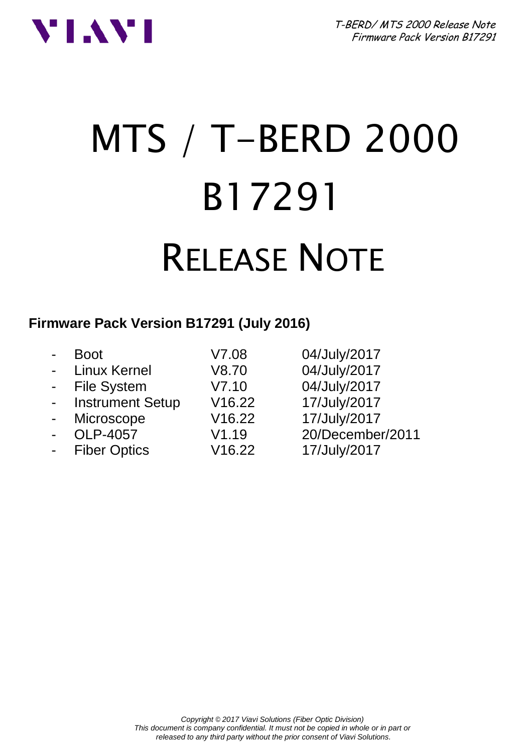



# MTS / T-BERD 2000 B17291 RELEASE NOTE

#### **Firmware Pack Version B17291 (July 2016)**

|                | Boot                    | V7.08  | 04/July/2017     |
|----------------|-------------------------|--------|------------------|
|                | - Linux Kernel          | V8.70  | 04/July/2017     |
|                | - File System           | V7.10  | 04/July/2017     |
| $\blacksquare$ | <b>Instrument Setup</b> | V16.22 | 17/July/2017     |
| $\blacksquare$ | Microscope              | V16.22 | 17/July/2017     |
| $\overline{a}$ | OLP-4057                | V1.19  | 20/December/2011 |
| $\blacksquare$ | <b>Fiber Optics</b>     | V16.22 | 17/July/2017     |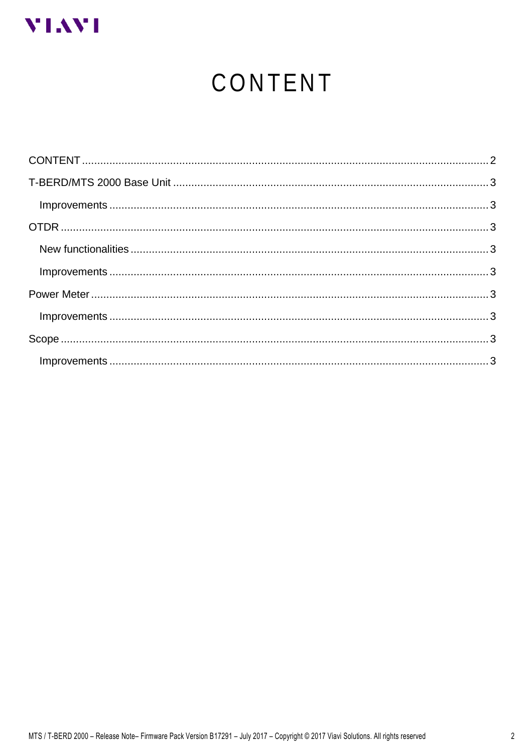<span id="page-1-0"></span>

# CONTENT